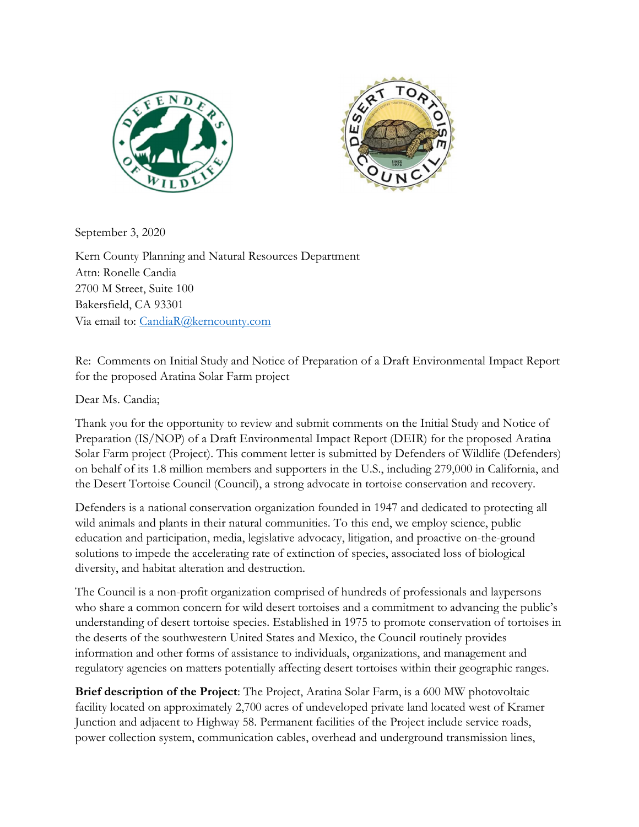



September 3, 2020

Kern County Planning and Natural Resources Department Attn: Ronelle Candia 2700 M Street, Suite 100 Bakersfield, CA 93301 Via email to: CandiaR@kerncounty.com

Re: Comments on Initial Study and Notice of Preparation of a Draft Environmental Impact Report for the proposed Aratina Solar Farm project

Dear Ms. Candia;

Thank you for the opportunity to review and submit comments on the Initial Study and Notice of Preparation (IS/NOP) of a Draft Environmental Impact Report (DEIR) for the proposed Aratina Solar Farm project (Project). This comment letter is submitted by Defenders of Wildlife (Defenders) on behalf of its 1.8 million members and supporters in the U.S., including 279,000 in California, and the Desert Tortoise Council (Council), a strong advocate in tortoise conservation and recovery.

Defenders is a national conservation organization founded in 1947 and dedicated to protecting all wild animals and plants in their natural communities. To this end, we employ science, public education and participation, media, legislative advocacy, litigation, and proactive on-the-ground solutions to impede the accelerating rate of extinction of species, associated loss of biological diversity, and habitat alteration and destruction.

The Council is a non-profit organization comprised of hundreds of professionals and laypersons who share a common concern for wild desert tortoises and a commitment to advancing the public's understanding of desert tortoise species. Established in 1975 to promote conservation of tortoises in the deserts of the southwestern United States and Mexico, the Council routinely provides information and other forms of assistance to individuals, organizations, and management and regulatory agencies on matters potentially affecting desert tortoises within their geographic ranges.

Brief description of the Project: The Project, Aratina Solar Farm, is a 600 MW photovoltaic facility located on approximately 2,700 acres of undeveloped private land located west of Kramer Junction and adjacent to Highway 58. Permanent facilities of the Project include service roads, power collection system, communication cables, overhead and underground transmission lines,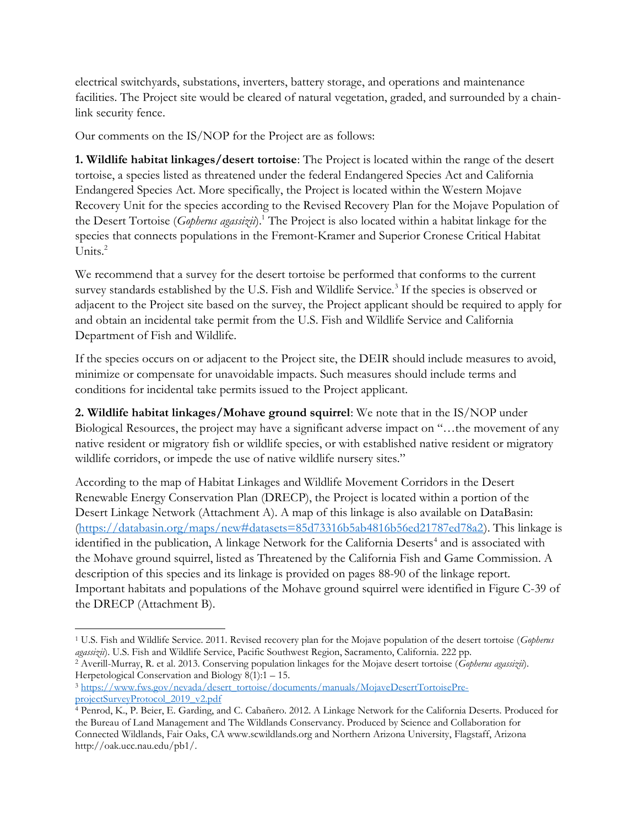electrical switchyards, substations, inverters, battery storage, and operations and maintenance facilities. The Project site would be cleared of natural vegetation, graded, and surrounded by a chainlink security fence.

Our comments on the IS/NOP for the Project are as follows:

1. Wildlife habitat linkages/desert tortoise: The Project is located within the range of the desert tortoise, a species listed as threatened under the federal Endangered Species Act and California Endangered Species Act. More specifically, the Project is located within the Western Mojave Recovery Unit for the species according to the Revised Recovery Plan for the Mojave Population of the Desert Tortoise (Gopherus agassizii).<sup>1</sup> The Project is also located within a habitat linkage for the species that connects populations in the Fremont-Kramer and Superior Cronese Critical Habitat Units.<sup>2</sup>

We recommend that a survey for the desert tortoise be performed that conforms to the current survey standards established by the U.S. Fish and Wildlife Service.<sup>3</sup> If the species is observed or adjacent to the Project site based on the survey, the Project applicant should be required to apply for and obtain an incidental take permit from the U.S. Fish and Wildlife Service and California Department of Fish and Wildlife.

If the species occurs on or adjacent to the Project site, the DEIR should include measures to avoid, minimize or compensate for unavoidable impacts. Such measures should include terms and conditions for incidental take permits issued to the Project applicant.

2. Wildlife habitat linkages/Mohave ground squirrel: We note that in the IS/NOP under Biological Resources, the project may have a significant adverse impact on "…the movement of any native resident or migratory fish or wildlife species, or with established native resident or migratory wildlife corridors, or impede the use of native wildlife nursery sites."

According to the map of Habitat Linkages and Wildlife Movement Corridors in the Desert Renewable Energy Conservation Plan (DRECP), the Project is located within a portion of the Desert Linkage Network (Attachment A). A map of this linkage is also available on DataBasin: (https://databasin.org/maps/new#datasets=85d73316b5ab4816b56ed21787ed78a2). This linkage is identified in the publication, A linkage Network for the California Deserts<sup>4</sup> and is associated with the Mohave ground squirrel, listed as Threatened by the California Fish and Game Commission. A description of this species and its linkage is provided on pages 88-90 of the linkage report. Important habitats and populations of the Mohave ground squirrel were identified in Figure C-39 of the DRECP (Attachment B).

<sup>&</sup>lt;sup>1</sup> U.S. Fish and Wildlife Service. 2011. Revised recovery plan for the Mojave population of the desert tortoise (Gopherus agassizii). U.S. Fish and Wildlife Service, Pacific Southwest Region, Sacramento, California. 222 pp.

<sup>&</sup>lt;sup>2</sup> Averill-Murray, R. et al. 2013. Conserving population linkages for the Mojave desert tortoise (Gopherus agassizii). Herpetological Conservation and Biology 8(1):1 – 15.

<sup>3</sup> https://www.fws.gov/nevada/desert\_tortoise/documents/manuals/MojaveDesertTortoisePreprojectSurveyProtocol\_2019\_v2.pdf

<sup>4</sup> Penrod, K., P. Beier, E. Garding, and C. Cabañero. 2012. A Linkage Network for the California Deserts. Produced for the Bureau of Land Management and The Wildlands Conservancy. Produced by Science and Collaboration for Connected Wildlands, Fair Oaks, CA www.scwildlands.org and Northern Arizona University, Flagstaff, Arizona http://oak.ucc.nau.edu/pb1/.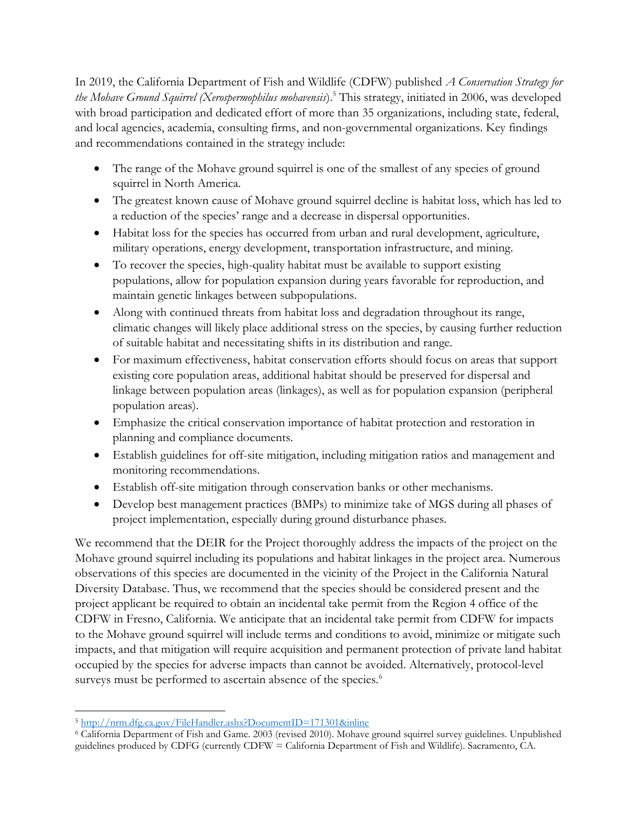In 2019, the California Department of Fish and Wildlife (CDFW) published *A Conservation Strategy for* the Mohave Ground Squirrel (Xerospermophilus mohavensis).<sup>5</sup> This strategy, initiated in 2006, was developed with broad participation and dedicated effort of more than 35 organizations, including state, federal, and local agencies, academia, consulting firms, and non-governmental organizations. Key findings and recommendations contained in the strategy include:

- The range of the Mohave ground squirrel is one of the smallest of any species of ground squirrel in North America.
- The greatest known cause of Mohave ground squirrel decline is habitat loss, which has led to a reduction of the species' range and a decrease in dispersal opportunities.
- Habitat loss for the species has occurred from urban and rural development, agriculture, military operations, energy development, transportation infrastructure, and mining.
- To recover the species, high-quality habitat must be available to support existing populations, allow for population expansion during years favorable for reproduction, and maintain genetic linkages between subpopulations.
- Along with continued threats from habitat loss and degradation throughout its range, climatic changes will likely place additional stress on the species, by causing further reduction of suitable habitat and necessitating shifts in its distribution and range.
- For maximum effectiveness, habitat conservation efforts should focus on areas that support existing core population areas, additional habitat should be preserved for dispersal and linkage between population areas (linkages), as well as for population expansion (peripheral population areas).
- Emphasize the critical conservation importance of habitat protection and restoration in planning and compliance documents.
- Establish guidelines for off-site mitigation, including mitigation ratios and management and monitoring recommendations.
- Establish off-site mitigation through conservation banks or other mechanisms.
- Develop best management practices (BMPs) to minimize take of MGS during all phases of project implementation, especially during ground disturbance phases.

We recommend that the DEIR for the Project thoroughly address the impacts of the project on the Mohave ground squirrel including its populations and habitat linkages in the project area. Numerous observations of this species are documented in the vicinity of the Project in the California Natural Diversity Database. Thus, we recommend that the species should be considered present and the project applicant be required to obtain an incidental take permit from the Region 4 office of the CDFW in Fresno, California. We anticipate that an incidental take permit from CDFW for impacts to the Mohave ground squirrel will include terms and conditions to avoid, minimize or mitigate such impacts, and that mitigation will require acquisition and permanent protection of private land habitat occupied by the species for adverse impacts than cannot be avoided. Alternatively, protocol-level surveys must be performed to ascertain absence of the species.<sup>6</sup>

<sup>5</sup> http://nrm.dfg.ca.gov/FileHandler.ashx?DocumentID=171301&inline

<sup>6</sup> California Department of Fish and Game. 2003 (revised 2010). Mohave ground squirrel survey guidelines. Unpublished guidelines produced by CDFG (currently CDFW = California Department of Fish and Wildlife). Sacramento, CA.